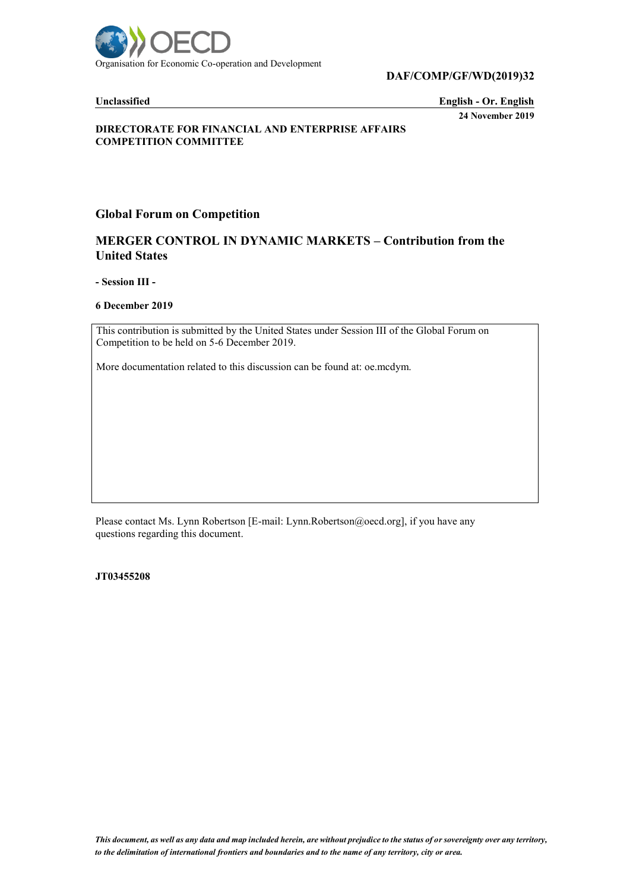

**DAF/COMP/GF/WD(2019)32**

**Unclassified English - Or. English 24 November 2019**

#### **DIRECTORATE FOR FINANCIAL AND ENTERPRISE AFFAIRS COMPETITION COMMITTEE**

### **Global Forum on Competition**

## **MERGER CONTROL IN DYNAMIC MARKETS – Contribution from the United States**

**- Session III -**

**6 December 2019**

This contribution is submitted by the United States under Session III of the Global Forum on Competition to be held on 5-6 December 2019.

More documentation related to this discussion can be found at: oe.mcdym.

Please contact Ms. Lynn Robertson [E-mail: Lynn.Robertson@oecd.org], if you have any questions regarding this document.

**JT03455208**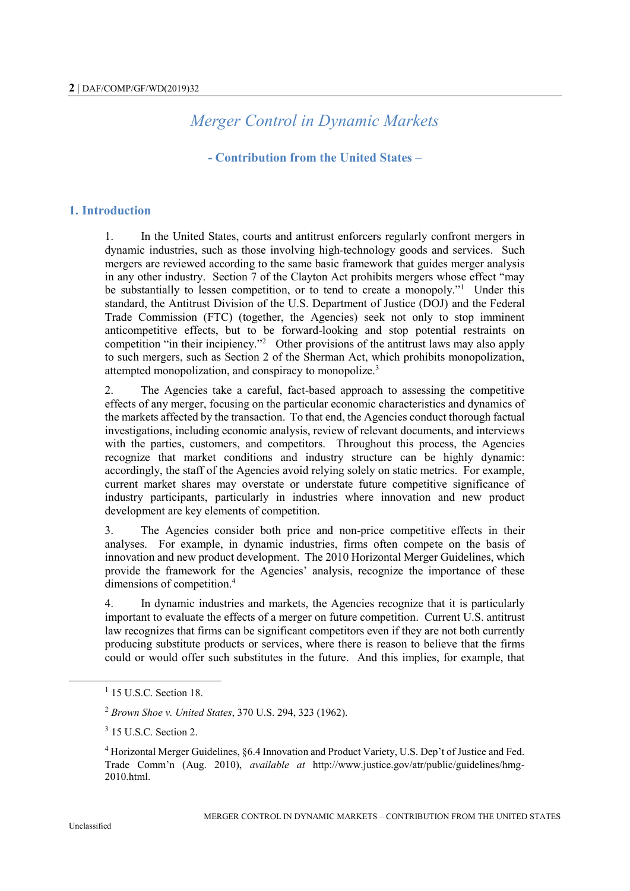# *Merger Control in Dynamic Markets*

# **- Contribution from the United States –**

# **1. Introduction**

1. In the United States, courts and antitrust enforcers regularly confront mergers in dynamic industries, such as those involving high-technology goods and services. Such mergers are reviewed according to the same basic framework that guides merger analysis in any other industry. Section 7 of the Clayton Act prohibits mergers whose effect "may be substantially to lessen competition, or to tend to create a monopoly."<sup>1</sup> Under this standard, the Antitrust Division of the U.S. Department of Justice (DOJ) and the Federal Trade Commission (FTC) (together, the Agencies) seek not only to stop imminent anticompetitive effects, but to be forward-looking and stop potential restraints on competition "in their incipiency."<sup>2</sup> Other provisions of the antitrust laws may also apply to such mergers, such as Section 2 of the Sherman Act, which prohibits monopolization, attempted monopolization, and conspiracy to monopolize.<sup>3</sup>

2. The Agencies take a careful, fact-based approach to assessing the competitive effects of any merger, focusing on the particular economic characteristics and dynamics of the markets affected by the transaction. To that end, the Agencies conduct thorough factual investigations, including economic analysis, review of relevant documents, and interviews with the parties, customers, and competitors. Throughout this process, the Agencies recognize that market conditions and industry structure can be highly dynamic: accordingly, the staff of the Agencies avoid relying solely on static metrics. For example, current market shares may overstate or understate future competitive significance of industry participants, particularly in industries where innovation and new product development are key elements of competition.

3. The Agencies consider both price and non-price competitive effects in their analyses. For example, in dynamic industries, firms often compete on the basis of innovation and new product development. The 2010 Horizontal Merger Guidelines, which provide the framework for the Agencies' analysis, recognize the importance of these dimensions of competition. 4

4. In dynamic industries and markets, the Agencies recognize that it is particularly important to evaluate the effects of a merger on future competition. Current U.S. antitrust law recognizes that firms can be significant competitors even if they are not both currently producing substitute products or services, where there is reason to believe that the firms could or would offer such substitutes in the future. And this implies, for example, that

<sup>&</sup>lt;sup>1</sup> 15 U.S.C. Section 18.

<sup>2</sup> *Brown Shoe v. United States*, 370 U.S. 294, 323 (1962).

<sup>&</sup>lt;sup>3</sup> 15 U.S.C. Section 2.

<sup>4</sup> Horizontal Merger Guidelines, §6.4 Innovation and Product Variety, U.S. Dep't of Justice and Fed. Trade Comm'n (Aug. 2010), *available at* http://www.justice.gov/atr/public/guidelines/hmg-2010.html.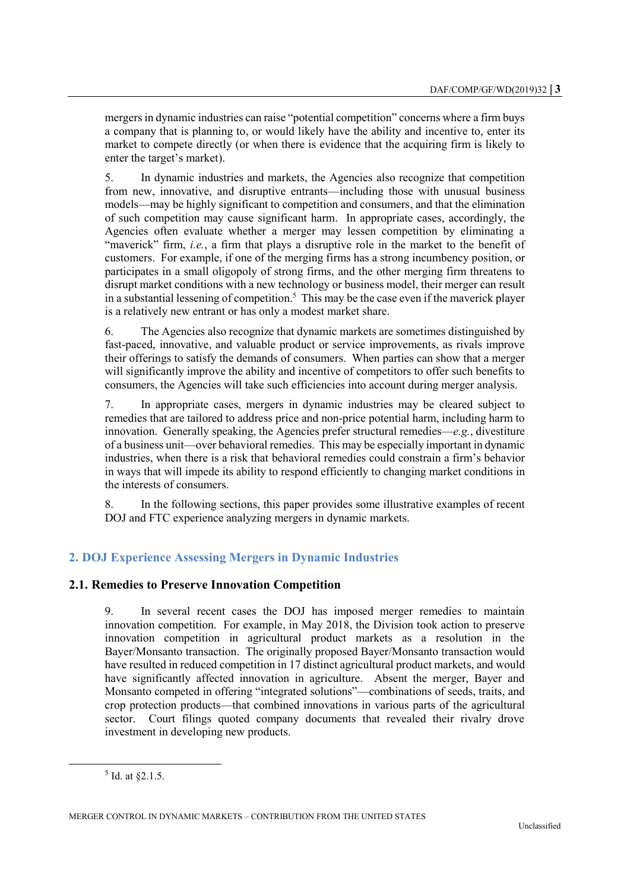mergers in dynamic industries can raise "potential competition" concerns where a firm buys a company that is planning to, or would likely have the ability and incentive to, enter its market to compete directly (or when there is evidence that the acquiring firm is likely to enter the target's market).

5. In dynamic industries and markets, the Agencies also recognize that competition from new, innovative, and disruptive entrants—including those with unusual business models—may be highly significant to competition and consumers, and that the elimination of such competition may cause significant harm. In appropriate cases, accordingly, the Agencies often evaluate whether a merger may lessen competition by eliminating a "maverick" firm, *i.e.*, a firm that plays a disruptive role in the market to the benefit of customers. For example, if one of the merging firms has a strong incumbency position, or participates in a small oligopoly of strong firms, and the other merging firm threatens to disrupt market conditions with a new technology or business model, their merger can result in a substantial lessening of competition. 5 This may be the case even if the maverick player is a relatively new entrant or has only a modest market share.

6. The Agencies also recognize that dynamic markets are sometimes distinguished by fast-paced, innovative, and valuable product or service improvements, as rivals improve their offerings to satisfy the demands of consumers. When parties can show that a merger will significantly improve the ability and incentive of competitors to offer such benefits to consumers, the Agencies will take such efficiencies into account during merger analysis.

7. In appropriate cases, mergers in dynamic industries may be cleared subject to remedies that are tailored to address price and non-price potential harm, including harm to innovation. Generally speaking, the Agencies prefer structural remedies—*e.g.*, divestiture of a business unit—over behavioral remedies. This may be especially important in dynamic industries, when there is a risk that behavioral remedies could constrain a firm's behavior in ways that will impede its ability to respond efficiently to changing market conditions in the interests of consumers.

8. In the following sections, this paper provides some illustrative examples of recent DOJ and FTC experience analyzing mergers in dynamic markets.

# **2. DOJ Experience Assessing Mergers in Dynamic Industries**

## **2.1. Remedies to Preserve Innovation Competition**

9. In several recent cases the DOJ has imposed merger remedies to maintain innovation competition. For example, in May 2018, the Division took action to preserve innovation competition in agricultural product markets as a resolution in the Bayer/Monsanto transaction. The originally proposed Bayer/Monsanto transaction would have resulted in reduced competition in 17 distinct agricultural product markets, and would have significantly affected innovation in agriculture. Absent the merger, Bayer and Monsanto competed in offering "integrated solutions"—combinations of seeds, traits, and crop protection products—that combined innovations in various parts of the agricultural sector. Court filings quoted company documents that revealed their rivalry drove investment in developing new products.

 $<sup>5</sup>$  Id. at  $\S$ 2.1.5.</sup>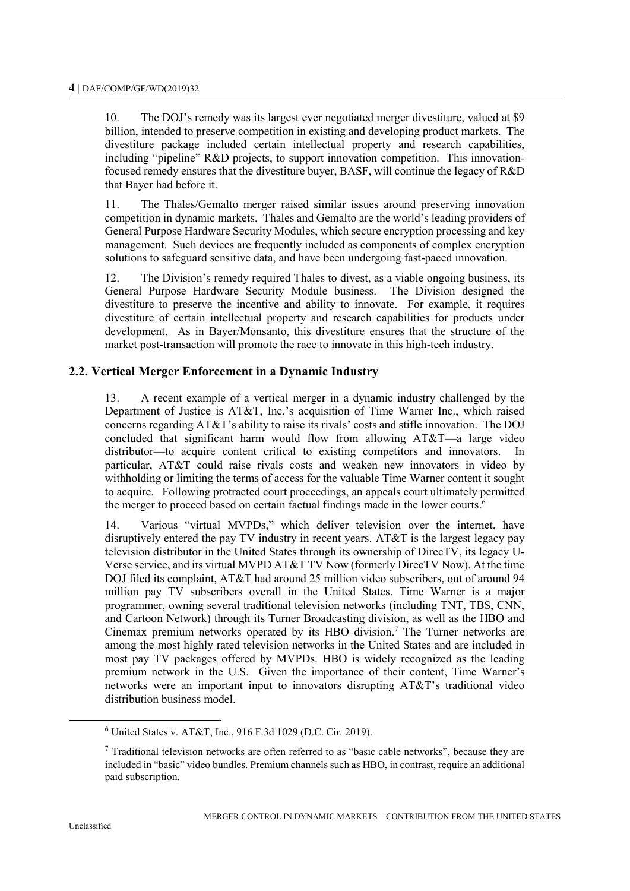10. The DOJ's remedy was its largest ever negotiated merger divestiture, valued at \$9 billion, intended to preserve competition in existing and developing product markets. The divestiture package included certain intellectual property and research capabilities, including "pipeline" R&D projects, to support innovation competition. This innovationfocused remedy ensures that the divestiture buyer, BASF, will continue the legacy of R&D that Bayer had before it.

11. The Thales/Gemalto merger raised similar issues around preserving innovation competition in dynamic markets. Thales and Gemalto are the world's leading providers of General Purpose Hardware Security Modules, which secure encryption processing and key management. Such devices are frequently included as components of complex encryption solutions to safeguard sensitive data, and have been undergoing fast-paced innovation.

12. The Division's remedy required Thales to divest, as a viable ongoing business, its General Purpose Hardware Security Module business. The Division designed the divestiture to preserve the incentive and ability to innovate. For example, it requires divestiture of certain intellectual property and research capabilities for products under development. As in Bayer/Monsanto, this divestiture ensures that the structure of the market post-transaction will promote the race to innovate in this high-tech industry.

### **2.2. Vertical Merger Enforcement in a Dynamic Industry**

13. A recent example of a vertical merger in a dynamic industry challenged by the Department of Justice is AT&T, Inc.'s acquisition of Time Warner Inc., which raised concerns regarding AT&T's ability to raise its rivals' costs and stifle innovation. The DOJ concluded that significant harm would flow from allowing AT&T—a large video distributor—to acquire content critical to existing competitors and innovators. In particular, AT&T could raise rivals costs and weaken new innovators in video by withholding or limiting the terms of access for the valuable Time Warner content it sought to acquire. Following protracted court proceedings, an appeals court ultimately permitted the merger to proceed based on certain factual findings made in the lower courts.<sup>6</sup>

14. Various "virtual MVPDs," which deliver television over the internet, have disruptively entered the pay TV industry in recent years. AT&T is the largest legacy pay television distributor in the United States through its ownership of DirecTV, its legacy U-Verse service, and its virtual MVPD AT&T TV Now (formerly DirecTV Now). At the time DOJ filed its complaint, AT&T had around 25 million video subscribers, out of around 94 million pay TV subscribers overall in the United States. Time Warner is a major programmer, owning several traditional television networks (including TNT, TBS, CNN, and Cartoon Network) through its Turner Broadcasting division, as well as the HBO and Cinemax premium networks operated by its HBO division.<sup>7</sup> The Turner networks are among the most highly rated television networks in the United States and are included in most pay TV packages offered by MVPDs. HBO is widely recognized as the leading premium network in the U.S. Given the importance of their content, Time Warner's networks were an important input to innovators disrupting AT&T's traditional video distribution business model.

<sup>6</sup> United States v. AT&T, Inc., 916 F.3d 1029 (D.C. Cir. 2019).

 $<sup>7</sup>$  Traditional television networks are often referred to as "basic cable networks", because they are</sup> included in "basic" video bundles. Premium channels such as HBO, in contrast, require an additional paid subscription.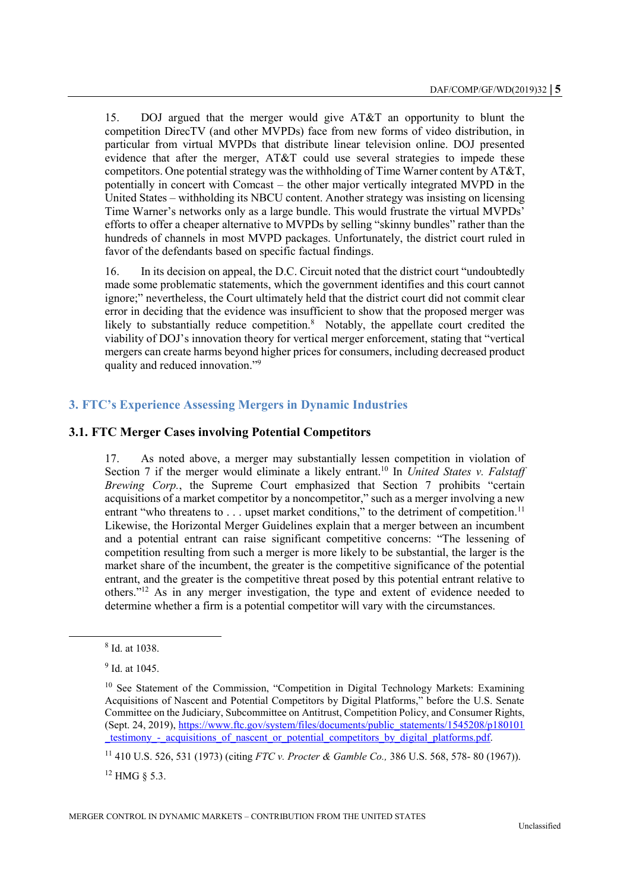15. DOJ argued that the merger would give AT&T an opportunity to blunt the competition DirecTV (and other MVPDs) face from new forms of video distribution, in particular from virtual MVPDs that distribute linear television online. DOJ presented evidence that after the merger, AT&T could use several strategies to impede these competitors. One potential strategy was the withholding of Time Warner content by AT&T, potentially in concert with Comcast – the other major vertically integrated MVPD in the United States – withholding its NBCU content. Another strategy was insisting on licensing Time Warner's networks only as a large bundle. This would frustrate the virtual MVPDs' efforts to offer a cheaper alternative to MVPDs by selling "skinny bundles" rather than the hundreds of channels in most MVPD packages. Unfortunately, the district court ruled in favor of the defendants based on specific factual findings.

16. In its decision on appeal, the D.C. Circuit noted that the district court "undoubtedly made some problematic statements, which the government identifies and this court cannot ignore;" nevertheless, the Court ultimately held that the district court did not commit clear error in deciding that the evidence was insufficient to show that the proposed merger was likely to substantially reduce competition.<sup>8</sup> Notably, the appellate court credited the viability of DOJ's innovation theory for vertical merger enforcement, stating that "vertical mergers can create harms beyond higher prices for consumers, including decreased product quality and reduced innovation."<sup>9</sup>

## **3. FTC's Experience Assessing Mergers in Dynamic Industries**

### **3.1. FTC Merger Cases involving Potential Competitors**

17. As noted above, a merger may substantially lessen competition in violation of Section 7 if the merger would eliminate a likely entrant.<sup>10</sup> In *United States v. Falstaff Brewing Corp.*, the Supreme Court emphasized that Section 7 prohibits "certain acquisitions of a market competitor by a noncompetitor," such as a merger involving a new entrant "who threatens to  $\dots$  upset market conditions," to the detriment of competition.<sup>11</sup> Likewise, the Horizontal Merger Guidelines explain that a merger between an incumbent and a potential entrant can raise significant competitive concerns: "The lessening of competition resulting from such a merger is more likely to be substantial, the larger is the market share of the incumbent, the greater is the competitive significance of the potential entrant, and the greater is the competitive threat posed by this potential entrant relative to others."<sup>12</sup> As in any merger investigation, the type and extent of evidence needed to determine whether a firm is a potential competitor will vary with the circumstances.

l

 $12$  HMG  $\&$  5.3.

<sup>8</sup> Id. at 1038.

<sup>&</sup>lt;sup>9</sup> Id. at 1045.

<sup>&</sup>lt;sup>10</sup> See Statement of the Commission, "Competition in Digital Technology Markets: Examining Acquisitions of Nascent and Potential Competitors by Digital Platforms," before the U.S. Senate Committee on the Judiciary, Subcommittee on Antitrust, Competition Policy, and Consumer Rights, (Sept. 24, 2019), [https://www.ftc.gov/system/files/documents/public\\_statements/1545208/p180101](https://www.ftc.gov/system/files/documents/public_statements/1545208/p180101_testimony_-_acquisitions_of_nascent_or_potential_competitors_by_digital_platforms.pdf) testimony - acquisitions of nascent or potential competitors by digital platforms.pdf.

<sup>11</sup> 410 U.S. 526, 531 (1973) (citing *FTC v. Procter & Gamble Co.,* 386 U.S. 568, 578- 80 (1967)).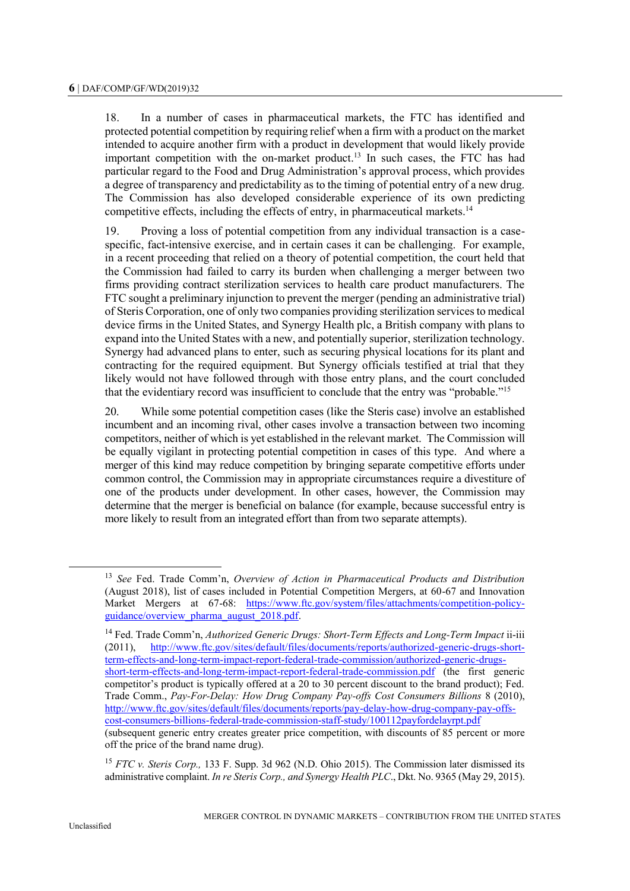18. In a number of cases in pharmaceutical markets, the FTC has identified and protected potential competition by requiring relief when a firm with a product on the market intended to acquire another firm with a product in development that would likely provide important competition with the on-market product. <sup>13</sup> In such cases, the FTC has had particular regard to the Food and Drug Administration's approval process, which provides a degree of transparency and predictability as to the timing of potential entry of a new drug. The Commission has also developed considerable experience of its own predicting competitive effects, including the effects of entry, in pharmaceutical markets.<sup>14</sup>

19. Proving a loss of potential competition from any individual transaction is a casespecific, fact-intensive exercise, and in certain cases it can be challenging. For example, in a recent proceeding that relied on a theory of potential competition, the court held that the Commission had failed to carry its burden when challenging a merger between two firms providing contract sterilization services to health care product manufacturers. The FTC sought a preliminary injunction to prevent the merger (pending an administrative trial) of Steris Corporation, one of only two companies providing sterilization services to medical device firms in the United States, and Synergy Health plc, a British company with plans to expand into the United States with a new, and potentially superior, sterilization technology. Synergy had advanced plans to enter, such as securing physical locations for its plant and contracting for the required equipment. But Synergy officials testified at trial that they likely would not have followed through with those entry plans, and the court concluded that the evidentiary record was insufficient to conclude that the entry was "probable."<sup>15</sup>

20. While some potential competition cases (like the Steris case) involve an established incumbent and an incoming rival, other cases involve a transaction between two incoming competitors, neither of which is yet established in the relevant market. The Commission will be equally vigilant in protecting potential competition in cases of this type. And where a merger of this kind may reduce competition by bringing separate competitive efforts under common control, the Commission may in appropriate circumstances require a divestiture of one of the products under development. In other cases, however, the Commission may determine that the merger is beneficial on balance (for example, because successful entry is more likely to result from an integrated effort than from two separate attempts).

<sup>13</sup> *See* Fed. Trade Comm'n, *Overview of Action in Pharmaceutical Products and Distribution* (August 2018), list of cases included in Potential Competition Mergers, at 60-67 and Innovation Market Mergers at 67-68: [https://www.ftc.gov/system/files/attachments/competition-policy](https://www.ftc.gov/system/files/attachments/competition-policy-guidance/overview_pharma_august_2018.pdf)[guidance/overview\\_pharma\\_august\\_2018.pdf.](https://www.ftc.gov/system/files/attachments/competition-policy-guidance/overview_pharma_august_2018.pdf)

<sup>&</sup>lt;sup>14</sup> Fed. Trade Comm'n, Authorized Generic Drugs: Short-Term Effects and Long-Term Impact ii-iii (2011), [http://www.ftc.gov/sites/default/files/documents/reports/authorized-generic-drugs-short](http://www.ftc.gov/sites/default/files/documents/reports/authorized-generic-drugs-short-term-effects-and-long-term-impact-report-federal-trade-commission/authorized-generic-drugs-short-term-effects-and-long-term-impact-report-federal-trade-commission.pdf)[term-effects-and-long-term-impact-report-federal-trade-commission/authorized-generic-drugs](http://www.ftc.gov/sites/default/files/documents/reports/authorized-generic-drugs-short-term-effects-and-long-term-impact-report-federal-trade-commission/authorized-generic-drugs-short-term-effects-and-long-term-impact-report-federal-trade-commission.pdf)[short-term-effects-and-long-term-impact-report-federal-trade-commission.pdf](http://www.ftc.gov/sites/default/files/documents/reports/authorized-generic-drugs-short-term-effects-and-long-term-impact-report-federal-trade-commission/authorized-generic-drugs-short-term-effects-and-long-term-impact-report-federal-trade-commission.pdf) (the first generic competitor's product is typically offered at a 20 to 30 percent discount to the brand product); Fed. Trade Comm., *Pay-For-Delay: How Drug Company Pay-offs Cost Consumers Billions* 8 (2010), [http://www.ftc.gov/sites/default/files/documents/reports/pay-delay-how-drug-company-pay-offs](http://www.ftc.gov/sites/default/files/documents/reports/pay-delay-how-drug-company-pay-offs-cost-consumers-billions-federal-trade-commission-staff-study/100112payfordelayrpt.pdf)[cost-consumers-billions-federal-trade-commission-staff-study/100112payfordelayrpt.pdf](http://www.ftc.gov/sites/default/files/documents/reports/pay-delay-how-drug-company-pay-offs-cost-consumers-billions-federal-trade-commission-staff-study/100112payfordelayrpt.pdf)

<sup>(</sup>subsequent generic entry creates greater price competition, with discounts of 85 percent or more off the price of the brand name drug).

<sup>15</sup> *FTC v. Steris Corp.,* 133 F. Supp. 3d 962 (N.D. Ohio 2015). The Commission later dismissed its administrative complaint. *In re Steris Corp., and Synergy Health PLC*., Dkt. No. 9365 (May 29, 2015).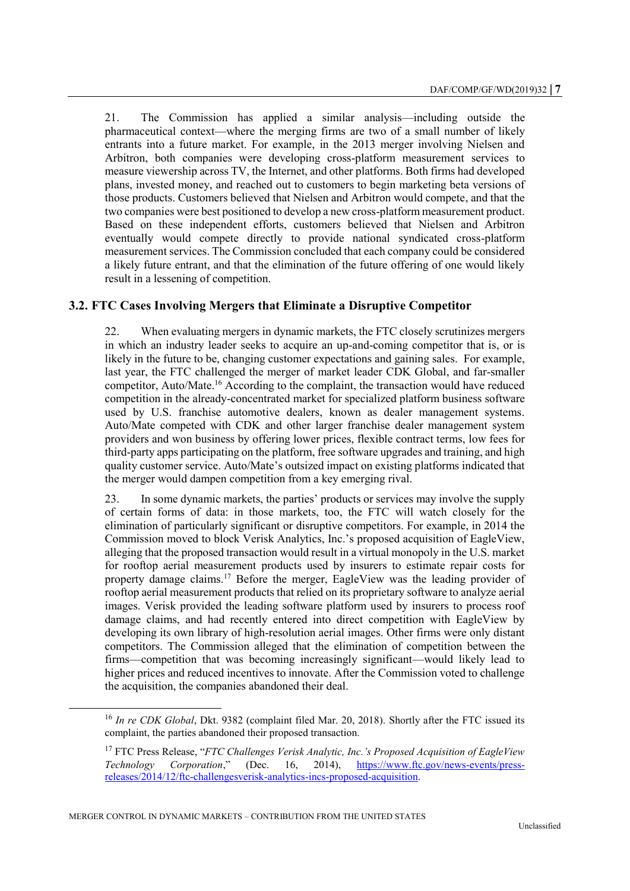21. The Commission has applied a similar analysis—including outside the pharmaceutical context—where the merging firms are two of a small number of likely entrants into a future market. For example, in the 2013 merger involving Nielsen and Arbitron, both companies were developing cross-platform measurement services to measure viewership across TV, the Internet, and other platforms. Both firms had developed plans, invested money, and reached out to customers to begin marketing beta versions of those products. Customers believed that Nielsen and Arbitron would compete, and that the two companies were best positioned to develop a new cross-platform measurement product. Based on these independent efforts, customers believed that Nielsen and Arbitron eventually would compete directly to provide national syndicated cross-platform measurement services. The Commission concluded that each company could be considered a likely future entrant, and that the elimination of the future offering of one would likely result in a lessening of competition.

## **3.2. FTC Cases Involving Mergers that Eliminate a Disruptive Competitor**

22. When evaluating mergers in dynamic markets, the FTC closely scrutinizes mergers in which an industry leader seeks to acquire an up-and-coming competitor that is, or is likely in the future to be, changing customer expectations and gaining sales. For example, last year, the FTC challenged the merger of market leader CDK Global, and far-smaller competitor, Auto/Mate.<sup>16</sup> According to the complaint, the transaction would have reduced competition in the already-concentrated market for specialized platform business software used by U.S. franchise automotive dealers, known as dealer management systems. Auto/Mate competed with CDK and other larger franchise dealer management system providers and won business by offering lower prices, flexible contract terms, low fees for third-party apps participating on the platform, free software upgrades and training, and high quality customer service. Auto/Mate's outsized impact on existing platforms indicated that the merger would dampen competition from a key emerging rival.

23. In some dynamic markets, the parties' products or services may involve the supply of certain forms of data: in those markets, too, the FTC will watch closely for the elimination of particularly significant or disruptive competitors. For example, in 2014 the Commission moved to block Verisk Analytics, Inc.'s proposed acquisition of EagleView, alleging that the proposed transaction would result in a virtual monopoly in the U.S. market for rooftop aerial measurement products used by insurers to estimate repair costs for property damage claims.<sup>17</sup> Before the merger, EagleView was the leading provider of rooftop aerial measurement products that relied on its proprietary software to analyze aerial images. Verisk provided the leading software platform used by insurers to process roof damage claims, and had recently entered into direct competition with EagleView by developing its own library of high-resolution aerial images. Other firms were only distant competitors. The Commission alleged that the elimination of competition between the firms—competition that was becoming increasingly significant—would likely lead to higher prices and reduced incentives to innovate. After the Commission voted to challenge the acquisition, the companies abandoned their deal.

<sup>16</sup> *In re CDK Global*, Dkt. 9382 (complaint filed Mar. 20, 2018). Shortly after the FTC issued its complaint, the parties abandoned their proposed transaction.

<sup>17</sup> FTC Press Release, "*FTC Challenges Verisk Analytic, Inc.'s Proposed Acquisition of EagleView Technology Corporation*," (Dec. 16, 2014), [https://www.ftc.gov/news-events/press](https://www.ftc.gov/news-events/press-releases/2014/12/ftc-challengesverisk-analytics-incs-proposed-acquisition)[releases/2014/12/ftc-challengesverisk-analytics-incs-proposed-acquisition.](https://www.ftc.gov/news-events/press-releases/2014/12/ftc-challengesverisk-analytics-incs-proposed-acquisition)